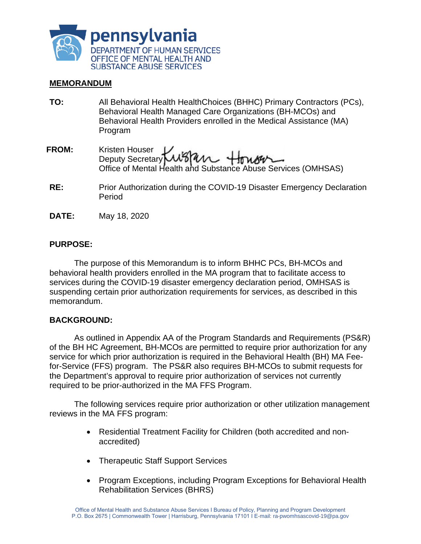

## **MEMORANDUM**

- **TO:** All Behavioral Health HealthChoices (BHHC) Primary Contractors (PCs), Behavioral Health Managed Care Organizations (BH-MCOs) and Behavioral Health Providers enrolled in the Medical Assistance (MA) Program
- **FROM:**  Kristen Houser Deputy Secretary Office of Mental Health and Substance Abuse Services (OMHSAS)
- **RE:** Prior Authorization during the COVID-19 Disaster Emergency Declaration Period
- **DATE:** May 18, 2020

## **PURPOSE:**

The purpose of this Memorandum is to inform BHHC PCs, BH-MCOs and behavioral health providers enrolled in the MA program that to facilitate access to services during the COVID-19 disaster emergency declaration period, OMHSAS is suspending certain prior authorization requirements for services, as described in this memorandum.

#### **BACKGROUND:**

As outlined in Appendix AA of the [Program Standards and Requirements](http://www.healthchoices.pa.gov/cs/groups/webcontent/documents/communication/p_004161.pdf) (PS&R) of the BH HC Agreement, BH-MCOs are permitted to require prior authorization for any service for which prior authorization is required in the Behavioral Health (BH) MA Feefor-Service (FFS) program. The PS&R also requires BH-MCOs to submit requests for the Department's approval to require prior authorization of services not currently required to be prior-authorized in the MA FFS Program.

The following services require prior authorization or other utilization management reviews in the MA FFS program:

- Residential Treatment Facility for Children (both accredited and nonaccredited)
- Therapeutic Staff Support Services
- Program Exceptions, including Program Exceptions for Behavioral Health Rehabilitation Services (BHRS)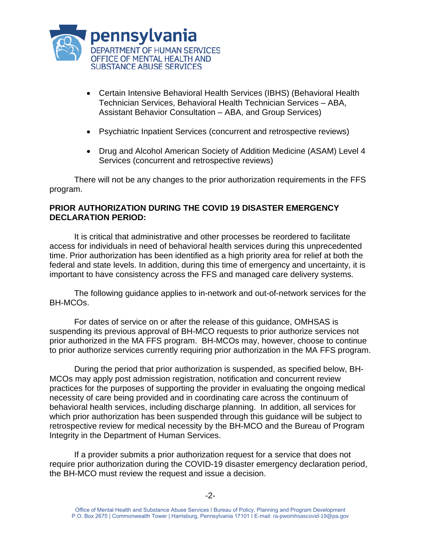

- Certain Intensive Behavioral Health Services (IBHS) (Behavioral Health Technician Services, Behavioral Health Technician Services – ABA, Assistant Behavior Consultation – ABA, and Group Services)
- Psychiatric Inpatient Services (concurrent and retrospective reviews)
- Drug and Alcohol American Society of Addition Medicine (ASAM) Level 4 Services (concurrent and retrospective reviews)

There will not be any changes to the prior authorization requirements in the FFS program.

# **PRIOR AUTHORIZATION DURING THE COVID 19 DISASTER EMERGENCY DECLARATION PERIOD:**

It is critical that administrative and other processes be reordered to facilitate access for individuals in need of behavioral health services during this unprecedented time. Prior authorization has been identified as a high priority area for relief at both the federal and state levels. In addition, during this time of emergency and uncertainty, it is important to have consistency across the FFS and managed care delivery systems.

The following guidance applies to in-network and out-of-network services for the BH-MCOs.

For dates of service on or after the release of this guidance, OMHSAS is suspending its previous approval of BH-MCO requests to prior authorize services not prior authorized in the MA FFS program. BH-MCOs may, however, choose to continue to prior authorize services currently requiring prior authorization in the MA FFS program.

During the period that prior authorization is suspended, as specified below, BH-MCOs may apply post admission registration, notification and concurrent review practices for the purposes of supporting the provider in evaluating the ongoing medical necessity of care being provided and in coordinating care across the continuum of behavioral health services, including discharge planning. In addition, all services for which prior authorization has been suspended through this guidance will be subject to retrospective review for medical necessity by the BH-MCO and the Bureau of Program Integrity in the Department of Human Services.

If a provider submits a prior authorization request for a service that does not require prior authorization during the COVID-19 disaster emergency declaration period, the BH-MCO must review the request and issue a decision.